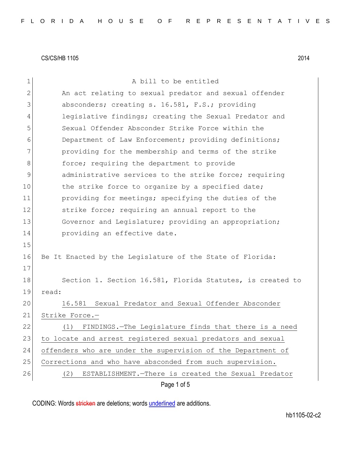| $\mathbf 1$  | A bill to be entitled                                        |
|--------------|--------------------------------------------------------------|
| $\mathbf{2}$ | An act relating to sexual predator and sexual offender       |
| 3            | absconders; creating s. 16.581, F.S.; providing              |
| 4            | legislative findings; creating the Sexual Predator and       |
| 5            | Sexual Offender Absconder Strike Force within the            |
| 6            | Department of Law Enforcement; providing definitions;        |
| 7            | providing for the membership and terms of the strike         |
| 8            | force; requiring the department to provide                   |
| 9            | administrative services to the strike force; requiring       |
| 10           | the strike force to organize by a specified date;            |
| 11           | providing for meetings; specifying the duties of the         |
| 12           | strike force; requiring an annual report to the              |
| 13           | Governor and Legislature; providing an appropriation;        |
| 14           | providing an effective date.                                 |
| 15           |                                                              |
| 16           | Be It Enacted by the Legislature of the State of Florida:    |
| 17           |                                                              |
| 18           | Section 1. Section 16.581, Florida Statutes, is created to   |
| 19           | read:                                                        |
| 20           | Sexual Predator and Sexual Offender Absconder<br>16.581      |
| 21           | Strike Force.-                                               |
| 22           | (1) FINDINGS.-The Legislature finds that there is a need     |
| 23           | to locate and arrest registered sexual predators and sexual  |
| 24           | offenders who are under the supervision of the Department of |
| 25           | Corrections and who have absconded from such supervision.    |
| 26           | ESTABLISHMENT. - There is created the Sexual Predator<br>(2) |
|              | Page 1 of 5                                                  |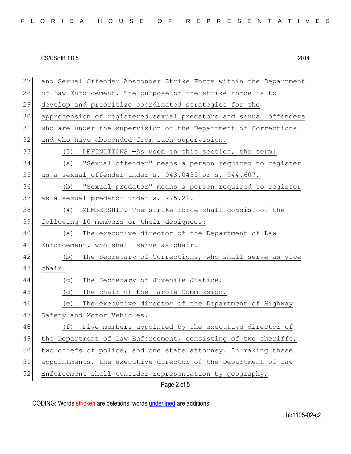| 27 | and Sexual Offender Absconder Strike Force within the Department |
|----|------------------------------------------------------------------|
| 28 | of Law Enforcement. The purpose of the strike force is to        |
| 29 | develop and prioritize coordinated strategies for the            |
| 30 | apprehension of registered sexual predators and sexual offenders |
| 31 | who are under the supervision of the Department of Corrections   |
| 32 | and who have absconded from such supervision.                    |
| 33 | DEFINITIONS. - As used in this section, the term:<br>(3)         |
| 34 | (a) "Sexual offender" means a person required to register        |
| 35 | as a sexual offender under s. 943.0435 or s. 944.607.            |
| 36 | "Sexual predator" means a person required to register<br>(b)     |
| 37 | as a sexual predator under s. 775.21.                            |
| 38 | (4) MEMBERSHIP. The strike force shall consist of the            |
| 39 | following 10 members or their designees:                         |
| 40 | The executive director of the Department of Law<br>(a)           |
| 41 | Enforcement, who shall serve as chair.                           |
| 42 | The Secretary of Corrections, who shall serve as vice<br>(b)     |
| 43 | chair.                                                           |
| 44 | The Secretary of Juvenile Justice.<br>(C)                        |
| 45 | The chair of the Parole Commission.<br>(d)                       |
| 46 | The executive director of the Department of Highway<br>(e)       |
| 47 | Safety and Motor Vehicles.                                       |
| 48 | (f) Five members appointed by the executive director of          |
| 49 | the Department of Law Enforcement, consisting of two sheriffs,   |
| 50 | two chiefs of police, and one state attorney. In making these    |
| 51 | appointments, the executive director of the Department of Law    |
| 52 | Enforcement shall consider representation by geography,          |
|    | Page 2 of 5                                                      |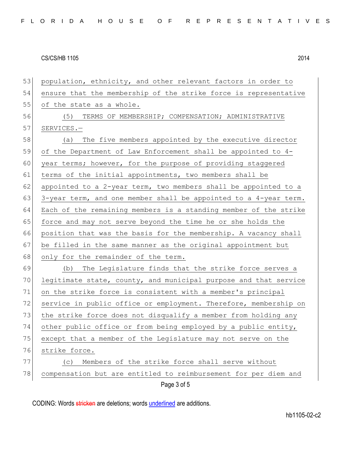| 53 | population, ethnicity, and other relevant factors in order to    |
|----|------------------------------------------------------------------|
| 54 | ensure that the membership of the strike force is representative |
| 55 | of the state as a whole.                                         |
| 56 | (5)<br>TERMS OF MEMBERSHIP; COMPENSATION; ADMINISTRATIVE         |
| 57 | SERVICES.-                                                       |
| 58 | (a) The five members appointed by the executive director         |
| 59 | of the Department of Law Enforcement shall be appointed to 4-    |
| 60 | year terms; however, for the purpose of providing staggered      |
| 61 | terms of the initial appointments, two members shall be          |
| 62 | appointed to a 2-year term, two members shall be appointed to a  |
| 63 | 3-year term, and one member shall be appointed to a 4-year term. |
| 64 | Each of the remaining members is a standing member of the strike |
| 65 | force and may not serve beyond the time he or she holds the      |
| 66 | position that was the basis for the membership. A vacancy shall  |
| 67 | be filled in the same manner as the original appointment but     |
| 68 | only for the remainder of the term.                              |
| 69 | The Legislature finds that the strike force serves a<br>(b)      |
| 70 | legitimate state, county, and municipal purpose and that service |
| 71 | on the strike force is consistent with a member's principal      |
| 72 | service in public office or employment. Therefore, membership on |
| 73 | the strike force does not disqualify a member from holding any   |
| 74 | other public office or from being employed by a public entity,   |
| 75 | except that a member of the Legislature may not serve on the     |
| 76 | strike force.                                                    |
| 77 | Members of the strike force shall serve without<br>(C)           |
| 78 | compensation but are entitled to reimbursement for per diem and  |
|    | Page 3 of 5                                                      |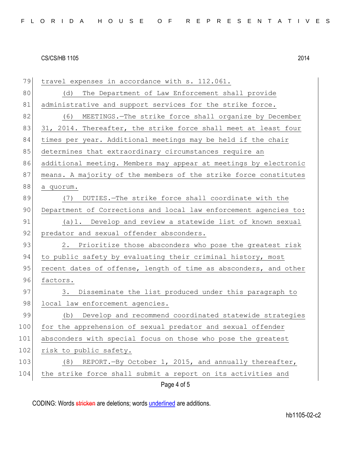| 79  | travel expenses in accordance with s. 112.061.                   |
|-----|------------------------------------------------------------------|
| 80  | The Department of Law Enforcement shall provide<br>(d)           |
| 81  | administrative and support services for the strike force.        |
| 82  | MEETINGS.-The strike force shall organize by December<br>(6)     |
| 83  | 31, 2014. Thereafter, the strike force shall meet at least four  |
| 84  | times per year. Additional meetings may be held if the chair     |
| 85  | determines that extraordinary circumstances require an           |
| 86  | additional meeting. Members may appear at meetings by electronic |
| 87  | means. A majority of the members of the strike force constitutes |
| 88  | a quorum.                                                        |
| 89  | DUTIES.-The strike force shall coordinate with the<br>(7)        |
| 90  | Department of Corrections and local law enforcement agencies to: |
| 91  | (a) 1. Develop and review a statewide list of known sexual       |
| 92  | predator and sexual offender absconders.                         |
| 93  | 2. Prioritize those absconders who pose the greatest risk        |
| 94  | to public safety by evaluating their criminal history, most      |
| 95  | recent dates of offense, length of time as absconders, and other |
| 96  | factors.                                                         |
| 97  | Disseminate the list produced under this paragraph to<br>3.      |
| 98  | local law enforcement agencies.                                  |
| 99  | Develop and recommend coordinated statewide strategies<br>(b)    |
| 100 | for the apprehension of sexual predator and sexual offender      |
| 101 | absconders with special focus on those who pose the greatest     |
| 102 | risk to public safety.                                           |
| 103 | REPORT.-By October 1, 2015, and annually thereafter,<br>(8)      |
| 104 | the strike force shall submit a report on its activities and     |
|     | Page 4 of 5                                                      |